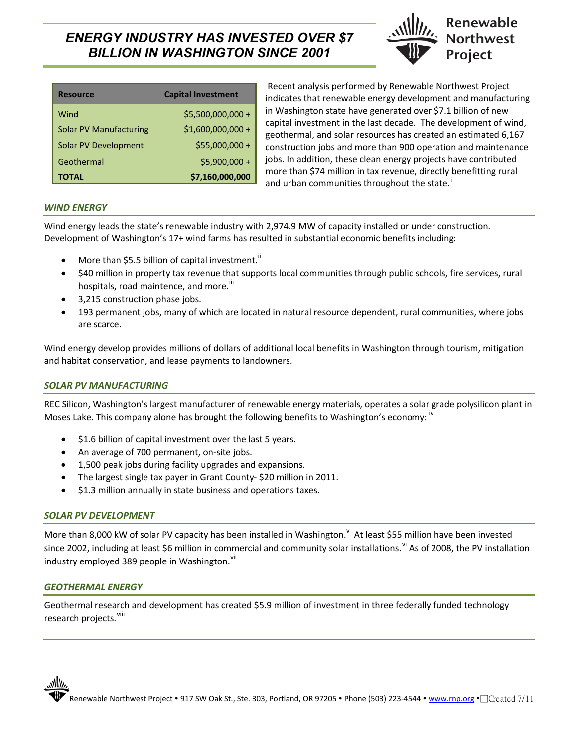# *ENERGY INDUSTRY HAS INVESTED OVER \$7 BILLION IN WASHINGTON SINCE 2001*



| <b>Resource</b>               | <b>Capital Investment</b> |
|-------------------------------|---------------------------|
| Wind                          | $$5,500,000,000+$         |
| <b>Solar PV Manufacturing</b> | $$1,600,000,000 +$        |
| Solar PV Development          | \$55,000,000 +            |
| Geothermal                    | $$5,900,000 +$            |
| <b>TOTAL</b>                  | \$7,160,000,000           |

Recent analysis performed by Renewable Northwest Project indicates that renewable energy development and manufacturing in Washington state have generated over \$7.1 billion of new capital investment in the last decade. The development of wind, geothermal, and solar resources has created an estimated 6,167 construction jobs and more than 900 operation and maintenance jobs. In addition, these clean energy projects have contributed more than \$74 million in tax revenue, directly benefitting rural and urban communities throughout the state.<sup>1</sup>

## *WIND ENERGY*

Wind energy leads the state's renewable industry with 2,974.9 MW of capacity installed or under construction. Development of Washington's 17+ wind farms has resulted in substantial economic benefits including:

- More than \$5.5 billion of capital investment.<sup>ii</sup>
- \$40 million in property tax revenue that supports local communities through public schools, fire services, rural hospitals, road maintence, and more.<sup>iii</sup>
- ! 3,215 construction phase jobs.
- ! 193 permanent jobs, many of which are located in natural resource dependent, rural communities, where jobs are scarce.

Wind energy develop provides millions of dollars of additional local benefits in Washington through tourism, mitigation and habitat conservation, and lease payments to landowners.

### *SOLAR PV MANUFACTURING*

REC Silicon, Washington's largest manufacturer of renewable energy materials, operates a solar grade polysilicon plant in Moses Lake. This company alone has brought the following benefits to Washington's economy: <sup>iv</sup>

- $\bullet$  \$1.6 billion of capital investment over the last 5 years.
- An average of 700 permanent, on-site jobs.
- ! 1,500 peak jobs during facility upgrades and expansions.
- The largest single tax payer in Grant County-\$20 million in 2011.
- \$1.3 million annually in state business and operations taxes.

### *SOLAR PV DEVELOPMENT*

More than 8,000 kW of solar PV capacity has been installed in Washington. At least \$55 million have been invested since 2002, including at least \$6 million in commercial and community solar installations. If As of 2008, the PV installation industry employed 389 people in Washington.<sup>vii</sup>

### *GEOTHERMAL ENERGY*

Geothermal research and development has created \$5.9 million of investment in three federally funded technology research projects. <sup>viii</sup>